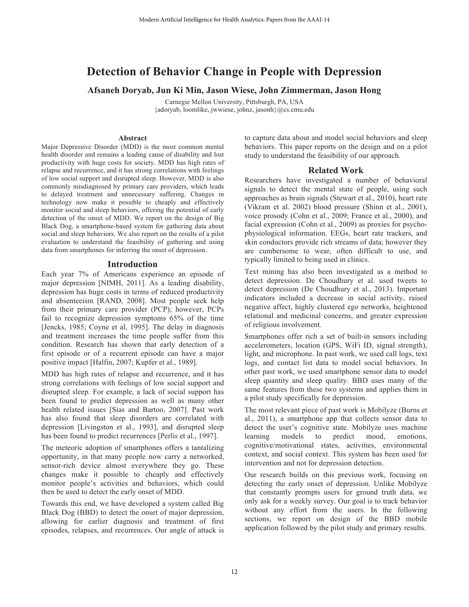# **Detection of Behavior Change in People with Depression**

**Afsaneh Doryab, Jun Ki Min, Jason Wiese, John Zimmerman, Jason Hong**

Carnegie Mellon University, Pittsburgh, PA, USA {adoryab, loomlike, jwwiese, johnz, jasonh}@cs.cmu.edu

## **Abstract**

Major Depressive Disorder (MDD) is the most common mental health disorder and remains a leading cause of disability and lost productivity with huge costs for society. MDD has high rates of relapse and recurrence, and it has strong correlations with feelings of low social support and disrupted sleep. However, MDD is also commonly misdiagnosed by primary care providers, which leads to delayed treatment and unnecessary suffering. Changes in technology now make it possible to cheaply and effectively monitor social and sleep behaviors, offering the potential of early detection of the onset of MDD. We report on the design of Big Black Dog, a smartphone-based system for gathering data about social and sleep behaviors. We also report on the results of a pilot evaluation to understand the feasibility of gathering and using data from smartphones for inferring the onset of depression.

#### **Introduction**

Each year 7% of Americans experience an episode of major depression [NIMH, 2011]. As a leading disability, depression has huge costs in terms of reduced productivity and absenteeism [RAND, 2008]. Most people seek help from their primary care provider (PCP); however, PCPs fail to recognize depression symptoms 65% of the time [Jencks, 1985; Coyne et al, 1995]. The delay in diagnosis and treatment increases the time people suffer from this condition. Research has shown that early detection of a first episode or of a recurrent episode can have a major positive impact [Halfin, 2007; Kupfer et al., 1989].

MDD has high rates of relapse and recurrence, and it has strong correlations with feelings of low social support and disrupted sleep. For example, a lack of social support has been found to predict depression as well as many other health related issues [Sias and Bartoo, 2007]. Past work has also found that sleep disorders are correlated with depression [Livingston et al., 1993], and disrupted sleep has been found to predict recurrences [Perlis et al., 1997].

The meteoric adoption of smartphones offers a tantalizing opportunity, in that many people now carry a networked, sensor-rich device almost everywhere they go. These changes make it possible to cheaply and effectively monitor people's activities and behaviors, which could then be used to detect the early onset of MDD.

Towards this end, we have developed a system called Big Black Dog (BBD) to detect the onset of major depression, allowing for earlier diagnosis and treatment of first episodes, relapses, and recurrences. Our angle of attack is to capture data about and model social behaviors and sleep behaviors. This paper reports on the design and on a pilot study to understand the feasibility of our approach.

# **Related Work**

Researchers have investigated a number of behavioral signals to detect the mental state of people, using such approaches as brain signals (Stewart et al., 2010), heart rate (Vikram et al. 2002) blood pressure (Shinn et al., 2001), voice prosody (Cohn et al., 2009; France et al., 2000), and facial expression (Cohn et al., 2009) as proxies for psychophysiological information. EEGs, heart rate trackers, and skin conductors provide rich streams of data; however they are cumbersome to wear, often difficult to use, and typically limited to being used in clinics.

Text mining has also been investigated as a method to detect depression. De Choudhury et al. used tweets to detect depression (De Choudhury et al., 2013). Important indicators included a decrease in social activity, raised negative affect, highly clustered ego networks, heightened relational and medicinal concerns, and greater expression of religious involvement.

Smartphones offer rich a set of built-in sensors including accelerometers, location (GPS, WiFi ID, signal strength), light, and microphone. In past work, we used call logs, text logs, and contact list data to model social behaviors. In other past work, we used smartphone sensor data to model sleep quantity and sleep quality. BBD uses many of the same features from these two systems and applies them in a pilot study specifically for depression.

The most relevant piece of past work is Mobilyze (Burns et al., 2011), a smartphone app that collects sensor data to detect the user's cognitive state. Mobilyze uses machine learning models to predict mood, emotions, cognitive/motivational states, activities, environmental context, and social context. This system has been used for intervention and not for depression detection.

Our research builds on this previous work, focusing on detecting the early onset of depression. Unlike Mobilyze that constantly prompts users for ground truth data, we only ask for a weekly survey. Our goal is to track behavior without any effort from the users. In the following sections, we report on design of the BBD mobile application followed by the pilot study and primary results.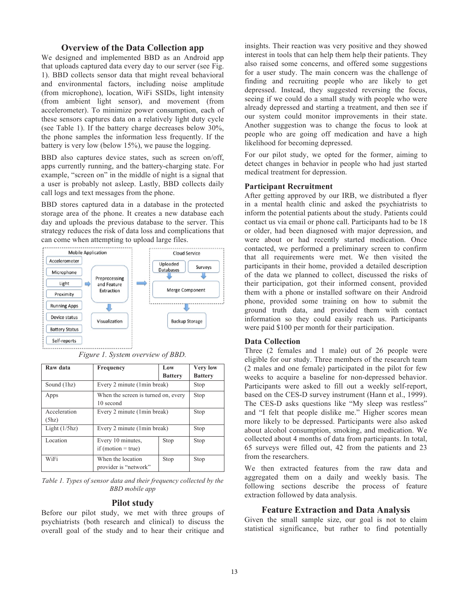# **Overview of the Data Collection app**

We designed and implemented BBD as an Android app that uploads captured data every day to our server (see Fig. 1). BBD collects sensor data that might reveal behavioral and environmental factors, including noise amplitude (from microphone), location, WiFi SSIDs, light intensity (from ambient light sensor), and movement (from accelerometer). To minimize power consumption, each of these sensors captures data on a relatively light duty cycle (see Table 1). If the battery charge decreases below 30%, the phone samples the information less frequently. If the battery is very low (below 15%), we pause the logging.

BBD also captures device states, such as screen on/off, apps currently running, and the battery-charging state. For example, "screen on" in the middle of night is a signal that a user is probably not asleep. Lastly, BBD collects daily call logs and text messages from the phone.

BBD stores captured data in a database in the protected storage area of the phone. It creates a new database each day and uploads the previous database to the server. This strategy reduces the risk of data loss and complications that can come when attempting to upload large files.



*Figure 1. System overview of BBD.*

| Raw data              | Frequency                                        | Low            | <b>Very low</b> |
|-----------------------|--------------------------------------------------|----------------|-----------------|
|                       |                                                  | <b>Battery</b> | <b>Battery</b>  |
| Sound (1hz)           | Every 2 minute (1min break)                      |                | Stop            |
| Apps                  | When the screen is turned on, every<br>10 second |                | Stop            |
| Acceleration<br>(5hz) | Every 2 minute (1min break)                      |                | Stop            |
| Light $(1/5)$ hz)     | Every 2 minute (1min break)                      |                | Stop            |
| Location              | Every 10 minutes.<br>if (motion $=$ true)        | Stop           | Stop            |
| WiFi                  | When the location<br>provider is "network"       | Stop           | Stop            |

*Table 1. Types of sensor data and their frequency collected by the BBD mobile app*

## **Pilot study**

Before our pilot study, we met with three groups of psychiatrists (both research and clinical) to discuss the overall goal of the study and to hear their critique and

insights. Their reaction was very positive and they showed interest in tools that can help them help their patients. They also raised some concerns, and offered some suggestions for a user study. The main concern was the challenge of finding and recruiting people who are likely to get depressed. Instead, they suggested reversing the focus, seeing if we could do a small study with people who were already depressed and starting a treatment, and then see if our system could monitor improvements in their state. Another suggestion was to change the focus to look at people who are going off medication and have a high likelihood for becoming depressed.

For our pilot study, we opted for the former, aiming to detect changes in behavior in people who had just started medical treatment for depression.

#### **Participant Recruitment**

After getting approved by our IRB, we distributed a flyer in a mental health clinic and asked the psychiatrists to inform the potential patients about the study. Patients could contact us via email or phone call. Participants had to be 18 or older, had been diagnosed with major depression, and were about or had recently started medication. Once contacted, we performed a preliminary screen to confirm that all requirements were met. We then visited the participants in their home, provided a detailed description of the data we planned to collect, discussed the risks of their participation, got their informed consent, provided them with a phone or installed software on their Android phone, provided some training on how to submit the ground truth data, and provided them with contact information so they could easily reach us. Participants were paid \$100 per month for their participation.

# **Data Collection**

Three (2 females and 1 male) out of 26 people were eligible for our study. Three members of the research team (2 males and one female) participated in the pilot for few weeks to acquire a baseline for non-depressed behavior. Participants were asked to fill out a weekly self-report, based on the CES-D survey instrument (Hann et al., 1999). The CES-D asks questions like "My sleep was restless" and "I felt that people dislike me." Higher scores mean more likely to be depressed. Participants were also asked about alcohol consumption, smoking, and medication. We collected about 4 months of data from participants. In total, 65 surveys were filled out, 42 from the patients and 23 from the researchers.

We then extracted features from the raw data and aggregated them on a daily and weekly basis. The following sections describe the process of feature extraction followed by data analysis.

# **Feature Extraction and Data Analysis**

Given the small sample size, our goal is not to claim statistical significance, but rather to find potentially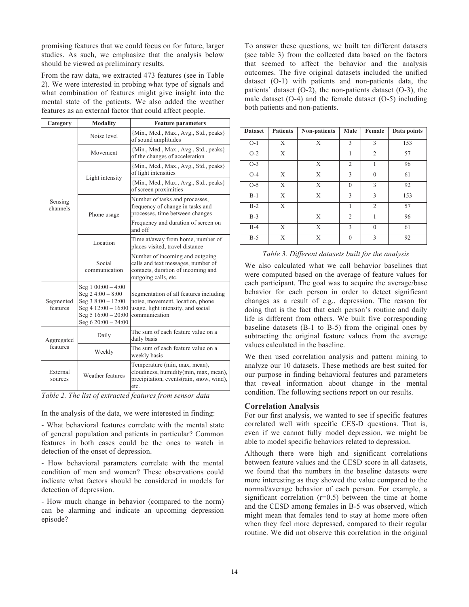promising features that we could focus on for future, larger studies. As such, we emphasize that the analysis below should be viewed as preliminary results.

From the raw data, we extracted 473 features (see in Table 2). We were interested in probing what type of signals and what combination of features might give insight into the mental state of the patients. We also added the weather features as an external factor that could affect people.

| Category               | <b>Modality</b>                                                                                                                            | <b>Feature parameters</b>                                                                                                           |  |
|------------------------|--------------------------------------------------------------------------------------------------------------------------------------------|-------------------------------------------------------------------------------------------------------------------------------------|--|
|                        | Noise level                                                                                                                                | {Min., Med., Max., Avg., Std., peaks}<br>of sound amplitudes                                                                        |  |
| Sensing<br>channels    | Movement                                                                                                                                   | {Min., Med., Max., Avg., Std., peaks}<br>of the changes of acceleration                                                             |  |
|                        |                                                                                                                                            | {Min., Med., Max., Avg., Std., peaks}<br>of light intensities                                                                       |  |
|                        | Light intensity                                                                                                                            | {Min., Med., Max., Avg., Std., peaks}<br>of screen proximities                                                                      |  |
|                        | Phone usage                                                                                                                                | Number of tasks and processes,<br>frequency of change in tasks and<br>processes, time between changes                               |  |
|                        |                                                                                                                                            | Frequency and duration of screen on<br>and off                                                                                      |  |
|                        | Location                                                                                                                                   | Time at/away from home, number of<br>places visited, travel distance                                                                |  |
|                        | Social<br>communication                                                                                                                    | Number of incoming and outgoing<br>calls and text messages, number of<br>contacts, duration of incoming and<br>outgoing calls, etc. |  |
| Segmented<br>features  | Seg $1\ 00:00 - 4:00$<br>Seg $24:00 - 8:00$<br>Seg $38:00 - 12:00$<br>Seg $412:00 - 16:00$<br>Seg $516:00 - 20:00$<br>Seg $620:00 - 24:00$ | Segmentation of all features including<br>noise, movement, location, phone<br>usage, light intensity, and social<br>communication   |  |
| Aggregated<br>features | Daily                                                                                                                                      | The sum of each feature value on a<br>daily basis                                                                                   |  |
|                        | Weekly                                                                                                                                     | The sum of each feature value on a<br>weekly basis                                                                                  |  |
| External<br>sources    | Weather features                                                                                                                           | Temperature (min, max, mean),<br>cloudiness, humidity(min, max, mean),<br>precipitation, events (rain, snow, wind),<br>etc.         |  |

*Table 2. The list of extracted features from sensor data*

In the analysis of the data, we were interested in finding:

- What behavioral features correlate with the mental state of general population and patients in particular? Common features in both cases could be the ones to watch in detection of the onset of depression.

- How behavioral parameters correlate with the mental condition of men and women? These observations could indicate what factors should be considered in models for detection of depression.

- How much change in behavior (compared to the norm) can be alarming and indicate an upcoming depression episode?

To answer these questions, we built ten different datasets (see table 3) from the collected data based on the factors that seemed to affect the behavior and the analysis outcomes. The five original datasets included the unified dataset (O-1) with patients and non-patients data, the patients' dataset (O-2), the non-patients dataset (O-3), the male dataset (O-4) and the female dataset (O-5) including both patients and non-patients.

| <b>Dataset</b> | <b>Patients</b> | Non-patients | Male           | Female         | Data points |
|----------------|-----------------|--------------|----------------|----------------|-------------|
| $O-1$          | X               | X            | 3              | 3              | 153         |
| $O-2$          | X               |              |                | $\overline{2}$ | 57          |
| $O-3$          |                 | X            | $\overline{2}$ |                | 96          |
| $O-4$          | X               | X            | 3              | $\mathbf{0}$   | 61          |
| $O-5$          | X               | X            | $\theta$       | $\overline{3}$ | 92          |
| $B-1$          | X               | X            | 3              | 3              | 153         |
| $B-2$          | X               |              | 1              | $\overline{2}$ | 57          |
| $B-3$          |                 | X            | $\overline{2}$ | 1              | 96          |
| $B-4$          | X               | X            | 3              | $\Omega$       | 61          |
| $B-5$          | X               | X            | $\mathbf{0}$   | 3              | 92          |

*Table 3. Different datasets built for the analysis*

We also calculated what we call behavior baselines that were computed based on the average of feature values for each participant. The goal was to acquire the average/base behavior for each person in order to detect significant changes as a result of e.g., depression. The reason for doing that is the fact that each person's routine and daily life is different from others. We built five corresponding baseline datasets (B-1 to B-5) from the original ones by subtracting the original feature values from the average values calculated in the baseline.

We then used correlation analysis and pattern mining to analyze our 10 datasets. These methods are best suited for our purpose in finding behavioral features and parameters that reveal information about change in the mental condition. The following sections report on our results.

## **Correlation Analysis**

For our first analysis, we wanted to see if specific features correlated well with specific CES-D questions. That is, even if we cannot fully model depression, we might be able to model specific behaviors related to depression.

Although there were high and significant correlations between feature values and the CESD score in all datasets, we found that the numbers in the baseline datasets were more interesting as they showed the value compared to the normal/average behavior of each person. For example, a significant correlation  $(r=0.5)$  between the time at home and the CESD among females in B-5 was observed, which might mean that females tend to stay at home more often when they feel more depressed, compared to their regular routine. We did not observe this correlation in the original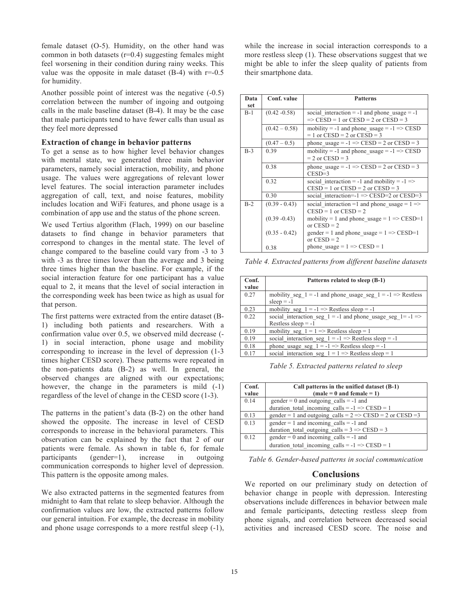female dataset (O-5). Humidity, on the other hand was common in both datasets  $(r=0.4)$  suggesting females might feel worsening in their condition during rainy weeks. This value was the opposite in male dataset  $(B-4)$  with  $r=0.5$ for humidity.

Another possible point of interest was the negative (-0.5) correlation between the number of ingoing and outgoing calls in the male baseline dataset (B-4). It may be the case that male participants tend to have fewer calls than usual as they feel more depressed

#### **Extraction of change in behavior patterns**

To get a sense as to how higher level behavior changes with mental state, we generated three main behavior parameters, namely social interaction, mobility, and phone usage. The values were aggregations of relevant lower level features. The social interaction parameter includes aggregation of call, text, and noise features, mobility includes location and WiFi features, and phone usage is a combination of app use and the status of the phone screen.

We used Tertius algorithm (Flach, 1999) on our baseline datasets to find change in behavior parameters that correspond to changes in the mental state. The level of change compared to the baseline could vary from -3 to 3 with -3 as three times lower than the average and 3 being three times higher than the baseline. For example, if the social interaction feature for one participant has a value equal to 2, it means that the level of social interaction in the corresponding week has been twice as high as usual for that person.

The first patterns were extracted from the entire dataset (B-1) including both patients and researchers. With a confirmation value over 0.5, we observed mild decrease (- 1) in social interaction, phone usage and mobility corresponding to increase in the level of depression (1-3 times higher CESD score). These patterns were repeated in the non-patients data (B-2) as well. In general, the observed changes are aligned with our expectations; however, the change in the parameters is mild  $(-1)$ regardless of the level of change in the CESD score (1-3).

The patterns in the patient's data (B-2) on the other hand showed the opposite. The increase in level of CESD corresponds to increase in the behavioral parameters. This observation can be explained by the fact that 2 of our patients were female. As shown in table 6, for female participants (gender=1), increase in outgoing communication corresponds to higher level of depression. This pattern is the opposite among males.

We also extracted patterns in the segmented features from midnight to 4am that relate to sleep behavior. Although the confirmation values are low, the extracted patterns follow our general intuition. For example, the decrease in mobility and phone usage corresponds to a more restful sleep (-1), while the increase in social interaction corresponds to a more restless sleep (1). These observations suggest that we might be able to infer the sleep quality of patients from their smartphone data.

| Data  | Conf. value     | <b>Patterns</b>                                         |
|-------|-----------------|---------------------------------------------------------|
| set   |                 |                                                         |
| $B-1$ | $(0.42 - 0.58)$ | social interaction = -1 and phone usage = -1            |
|       |                 | $\Rightarrow$ CESD = 1 or CESD = 2 or CESD = 3          |
|       |                 |                                                         |
|       | $(0.42 - 0.58)$ | mobility = -1 and phone usage = $-1$ => CESD            |
|       |                 | $= 1$ or $CESD = 2$ or $CESD = 3$                       |
|       | $(0.47 - 0.5)$  | phone usage = $-1$ $\Rightarrow$ CESD = 2 or CESD = 3   |
| $B-3$ | 0.39            | mobility = -1 and phone usage = $-1$ => CESD            |
|       |                 | $= 2$ or $CESD = 3$                                     |
|       |                 |                                                         |
|       | 0.38            | phone usage = $-1$ => CESD = 2 or CESD = 3              |
|       |                 | $CESD=3$                                                |
|       | 0.32            | social interaction = -1 and mobility = $-1$ =>          |
|       |                 | $CESD = 1$ or $CESD = 2$ or $CESD = 3$                  |
|       | 0.30            | social interaction= $-1$ => CESD=2 or CESD=3            |
|       |                 |                                                         |
| $B-2$ | $(0.39 - 0.43)$ | social interaction =1 and phone usage = $1 \Rightarrow$ |
|       |                 | $CESD = 1$ or $CESD = 2$                                |
|       | $(0.39 - 0.43)$ | mobility = 1 and phone usage = $1 \Rightarrow$ CESD=1   |
|       |                 | or $CESD = 2$                                           |
|       | $(0.35 - 0.42)$ | gender = 1 and phone usage = $1 \Rightarrow$ CESD=1     |
|       |                 | or $CESD = 2$                                           |
|       | 0.38            | phone usage = $1 \Rightarrow$ CESD = 1                  |

*Table 4. Extracted patterns from different baseline datasets*

| Conf.<br>value | Patterns related to sleep (B-1)                                                       |
|----------------|---------------------------------------------------------------------------------------|
| 0.27           | mobility seg $1 = -1$ and phone usage seg $1 = -1 \implies$ Restless<br>sleep $= -1$  |
| 0.23           | mobility seg $1 = -1 \implies$ Restless sleep = -1                                    |
| 0.22           | social interaction seg $1 = -1$ and phone usage seg $1 = -1$<br>Restless sleep $= -1$ |
| 0.19           | mobility seg $1 = 1 \implies$ Restless sleep = 1                                      |
| 0.19           | social interaction seg $1 = -1 \implies$ Restless sleep = -1                          |
| 0.18           | phone usage seg $1 = -1 \implies$ Restless sleep = -1                                 |
| 0.17           | social interaction seg $1 = 1 \Rightarrow$ Restless sleep = 1                         |

*Table 5. Extracted patterns related to sleep*

| Conf.<br>value | Call patterns in the unified dataset (B-1)<br>$(male = 0$ and female = 1) |
|----------------|---------------------------------------------------------------------------|
| 0.14           | $gender = 0$ and outgoing calls = -1 and                                  |
|                | duration total incoming calls = $-1$ => CESD = 1                          |
| 0.13           | gender = 1 and outgoing calls = $2 \Rightarrow$ CESD = 2 or CESD = 3      |
| 0.13           | $gender = 1$ and incoming calls = -1 and                                  |
|                | duration total outgoing calls = $3 \Rightarrow$ CESD = 3                  |
| 0.12           | $gender = 0$ and incoming calls = -1 and                                  |
|                | duration total incoming calls = $-1$ => CESD = 1                          |

*Table 6. Gender-based patterns in social communication*

# **Conclusions**

We reported on our preliminary study on detection of behavior change in people with depression. Interesting observations include differences in behavior between male and female participants, detecting restless sleep from phone signals, and correlation between decreased social activities and increased CESD score. The noise and